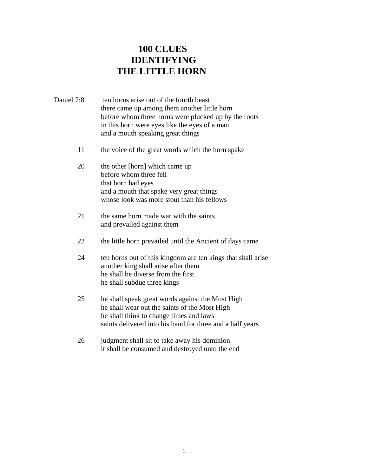## **100 CLUES IDENTIFYING THE LITTLE HORN**

- Daniel 7:8 ten horns arise out of the fourth beast there came up among them another little horn before whom three horns were plucked up by the roots in this horn were eyes like the eyes of a man and a mouth speaking great things
	- 11 the voice of the great words which the horn spake
	- 20 the other [horn] which came up before whom three fell that horn had eyes and a mouth that spake very great things whose look was more stout than his fellows
	- 21 the same horn made war with the saints and prevailed against them
	- 22 the little horn prevailed until the Ancient of days came
	- 24 ten horns out of this kingdom are ten kings that shall arise another king shall arise after them he shall be diverse from the first he shall subdue three kings
	- 25 he shall speak great words against the Most High he shall wear out the saints of the Most High he shall think to change times and laws saints delivered into his hand for three and a half years
	- 26 judgment shall sit to take away his dominion it shall be consumed and destroyed unto the end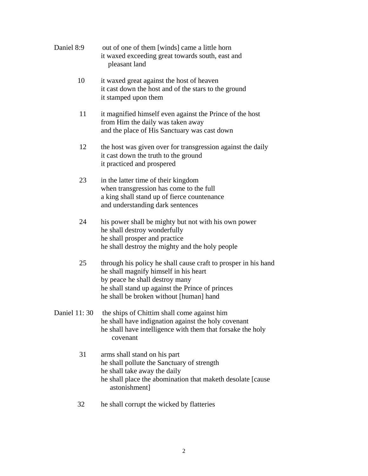| Daniel 8:9 | out of one of them [winds] came a little horn<br>it waxed exceeding great towards south, east and<br>pleasant land                                                                                                                      |
|------------|-----------------------------------------------------------------------------------------------------------------------------------------------------------------------------------------------------------------------------------------|
| 10         | it waxed great against the host of heaven<br>it cast down the host and of the stars to the ground<br>it stamped upon them                                                                                                               |
| 11         | it magnified himself even against the Prince of the host<br>from Him the daily was taken away<br>and the place of His Sanctuary was cast down                                                                                           |
| 12         | the host was given over for transgression against the daily<br>it cast down the truth to the ground<br>it practiced and prospered                                                                                                       |
| 23         | in the latter time of their kingdom<br>when transgression has come to the full<br>a king shall stand up of fierce countenance<br>and understanding dark sentences                                                                       |
| 24         | his power shall be mighty but not with his own power<br>he shall destroy wonderfully<br>he shall prosper and practice<br>he shall destroy the mighty and the holy people                                                                |
| 25         | through his policy he shall cause craft to prosper in his hand<br>he shall magnify himself in his heart<br>by peace he shall destroy many<br>he shall stand up against the Prince of princes<br>he shall be broken without [human] hand |
|            | Daniel 11:30 the ships of Chittim shall come against him<br>he shall have indignation against the holy covenant<br>he shall have intelligence with them that forsake the holy<br>covenant                                               |
| 31         | arms shall stand on his part<br>he shall pollute the Sanctuary of strength<br>he shall take away the daily<br>he shall place the abomination that maketh desolate [cause]<br>astonishment]                                              |

32 he shall corrupt the wicked by flatteries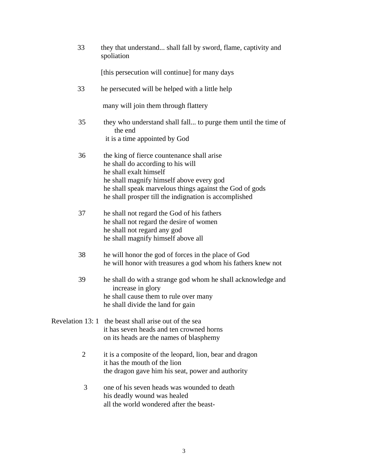| 33             | they that understand shall fall by sword, flame, captivity and<br>spoliation                                                                                    |
|----------------|-----------------------------------------------------------------------------------------------------------------------------------------------------------------|
|                | [this persecution will continue] for many days                                                                                                                  |
| 33             | he persecuted will be helped with a little help                                                                                                                 |
|                | many will join them through flattery                                                                                                                            |
| 35             | they who understand shall fall to purge them until the time of<br>the end                                                                                       |
|                | it is a time appointed by God                                                                                                                                   |
| 36             | the king of fierce countenance shall arise<br>he shall do according to his will<br>he shall exalt himself                                                       |
|                | he shall magnify himself above every god<br>he shall speak marvelous things against the God of gods<br>he shall prosper till the indignation is accomplished    |
| 37             | he shall not regard the God of his fathers<br>he shall not regard the desire of women<br>he shall not regard any god<br>he shall magnify himself above all      |
| 38             | he will honor the god of forces in the place of God<br>he will honor with treasures a god whom his fathers knew not                                             |
| 39             | he shall do with a strange god whom he shall acknowledge and<br>increase in glory<br>he shall cause them to rule over many<br>he shall divide the land for gain |
|                | Revelation 13:1 the beast shall arise out of the sea<br>it has seven heads and ten crowned horns<br>on its heads are the names of blasphemy                     |
| $\overline{2}$ | it is a composite of the leopard, lion, bear and dragon<br>it has the mouth of the lion<br>the dragon gave him his seat, power and authority                    |
| 3              | one of his seven heads was wounded to death<br>his deadly wound was healed                                                                                      |

all the world wondered after the beast-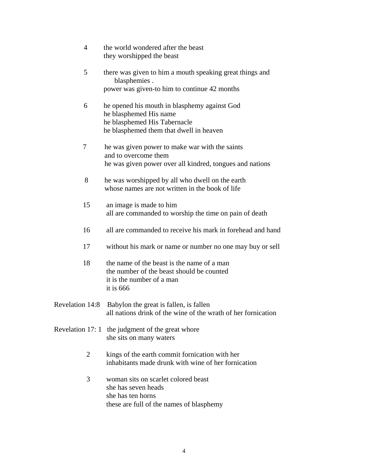| $\overline{4}$   | the world wondered after the beast<br>they worshipped the beast                                                                                   |
|------------------|---------------------------------------------------------------------------------------------------------------------------------------------------|
| 5                | there was given to him a mouth speaking great things and<br>blasphemies.                                                                          |
|                  | power was given-to him to continue 42 months                                                                                                      |
| 6                | he opened his mouth in blasphemy against God<br>he blasphemed His name<br>he blasphemed His Tabernacle<br>he blasphemed them that dwell in heaven |
| 7                | he was given power to make war with the saints<br>and to overcome them<br>he was given power over all kindred, tongues and nations                |
| 8                | he was worshipped by all who dwell on the earth<br>whose names are not written in the book of life                                                |
| 15               | an image is made to him<br>all are commanded to worship the time on pain of death                                                                 |
| 16               | all are commanded to receive his mark in forehead and hand                                                                                        |
| 17               | without his mark or name or number no one may buy or sell                                                                                         |
| 18               | the name of the beast is the name of a man<br>the number of the beast should be counted<br>it is the number of a man<br>it is $666$               |
| Revelation 14:8  | Babylon the great is fallen, is fallen<br>all nations drink of the wine of the wrath of her fornication                                           |
| Revelation 17: 1 | the judgment of the great whore<br>she sits on many waters                                                                                        |
| 2                | kings of the earth commit fornication with her<br>inhabitants made drunk with wine of her fornication                                             |
| 3                | woman sits on scarlet colored beast<br>she has seven heads                                                                                        |

 she has ten horns these are full of the names of blasphemy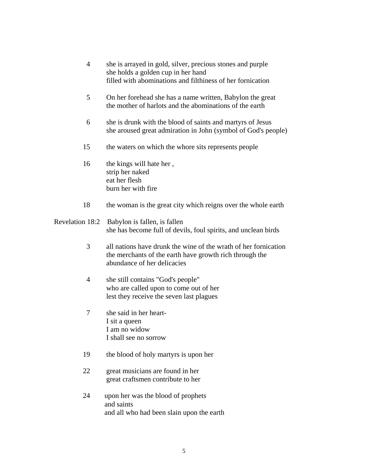| $\overline{4}$  | she is arrayed in gold, silver, precious stones and purple<br>she holds a golden cup in her hand<br>filled with abominations and filthiness of her fornication |
|-----------------|----------------------------------------------------------------------------------------------------------------------------------------------------------------|
| 5               | On her forehead she has a name written, Babylon the great<br>the mother of harlots and the abominations of the earth                                           |
| 6               | she is drunk with the blood of saints and martyrs of Jesus<br>she aroused great admiration in John (symbol of God's people)                                    |
| 15              | the waters on which the whore sits represents people                                                                                                           |
| 16              | the kings will hate her,<br>strip her naked<br>eat her flesh<br>burn her with fire                                                                             |
| 18              | the woman is the great city which reigns over the whole earth                                                                                                  |
| Revelation 18:2 | Babylon is fallen, is fallen<br>she has become full of devils, foul spirits, and unclean birds                                                                 |
| 3               | all nations have drunk the wine of the wrath of her fornication<br>the merchants of the earth have growth rich through the<br>abundance of her delicacies      |
| $\overline{4}$  | she still contains "God's people"<br>who are called upon to come out of her<br>lest they receive the seven last plagues                                        |
| 7               | she said in her heart-<br>I sit a queen<br>I am no widow                                                                                                       |

I shall see no sorrow

- 19 the blood of holy martyrs is upon her
- 22 great musicians are found in her great craftsmen contribute to her
- 24 upon her was the blood of prophets and saints and all who had been slain upon the earth